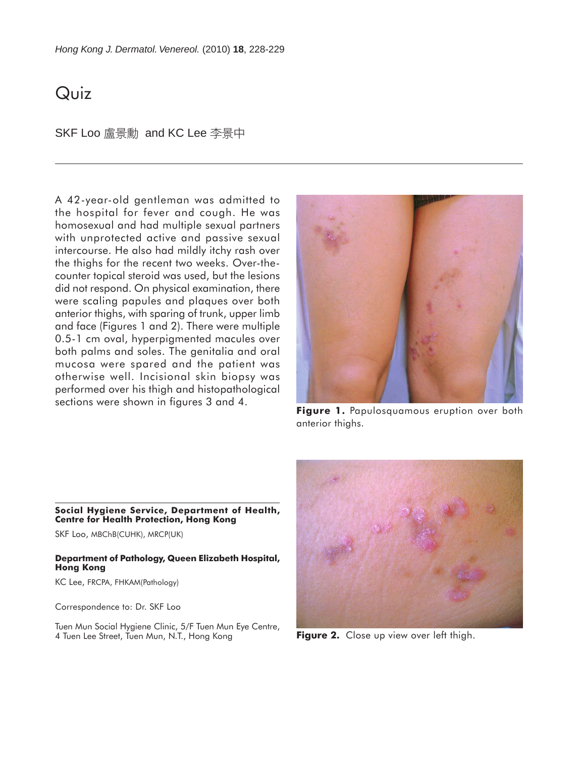# Quiz

SKF Loo 盧景勳 and KC Lee 李景中

A 42-year-old gentleman was admitted to the hospital for fever and cough. He was homosexual and had multiple sexual partners with unprotected active and passive sexual intercourse. He also had mildly itchy rash over the thighs for the recent two weeks. Over-thecounter topical steroid was used, but the lesions did not respond. On physical examination, there were scaling papules and plaques over both anterior thighs, with sparing of trunk, upper limb and face (Figures 1 and 2). There were multiple 0.5-1 cm oval, hyperpigmented macules over both palms and soles. The genitalia and oral mucosa were spared and the patient was otherwise well. Incisional skin biopsy was performed over his thigh and histopathological sections were shown in figures 3 and 4.



**Figure 1.** Papulosquamous eruption over both anterior thighs.

**Social Hygiene Service, Department of Health, Centre for Health Protection, Hong Kong**

SKF Loo, MBChB(CUHK), MRCP(UK)

#### **Department of Pathology, Queen Elizabeth Hospital, Hong Kong**

KC Lee, FRCPA, FHKAM(Pathology)

Correspondence to: Dr. SKF Loo

Tuen Mun Social Hygiene Clinic, 5/F Tuen Mun Eye Centre, 4 Tuen Lee Street, Tuen Mun, N.T., Hong Kong



**Figure 2.** Close up view over left thigh.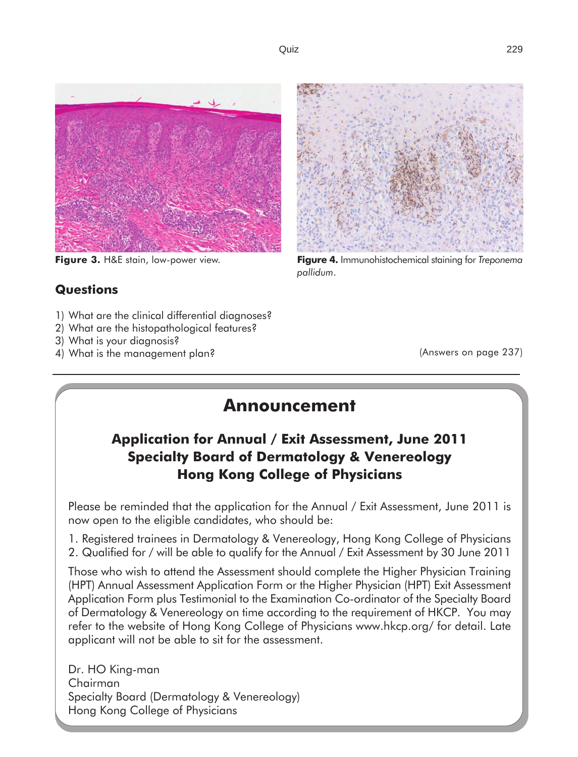

### **Questions**

- 1) What are the clinical differential diagnoses?
- 2) What are the histopathological features?
- 3) What is your diagnosis?
- 4) What is the management plan?



**Figure 3.** H&E stain, low-power view. **Figure 4.** Immunohistochemical staining for *Treponema pallidum*.

(Answers on page 237)

# **Announcement**

## **Application for Annual / Exit Assessment, June 2011 Specialty Board of Dermatology & Venereology Hong Kong College of Physicians**

Please be reminded that the application for the Annual / Exit Assessment, June 2011 is now open to the eligible candidates, who should be:

1. Registered trainees in Dermatology & Venereology, Hong Kong College of Physicians 2. Qualified for / will be able to qualify for the Annual / Exit Assessment by 30 June 2011

Those who wish to attend the Assessment should complete the Higher Physician Training (HPT) Annual Assessment Application Form or the Higher Physician (HPT) Exit Assessment Application Form plus Testimonial to the Examination Co-ordinator of the Specialty Board of Dermatology & Venereology on time according to the requirement of HKCP. You may refer to the website of Hong Kong College of Physicians www.hkcp.org/ for detail. Late applicant will not be able to sit for the assessment.

Dr. HO King-man Chairman Specialty Board (Dermatology & Venereology) Hong Kong College of Physicians